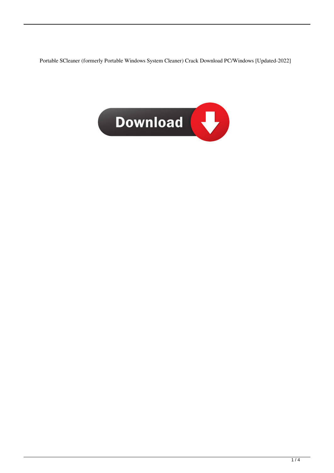Portable SCleaner (formerly Portable Windows System Cleaner) Crack Download PC/Windows [Updated-2022]

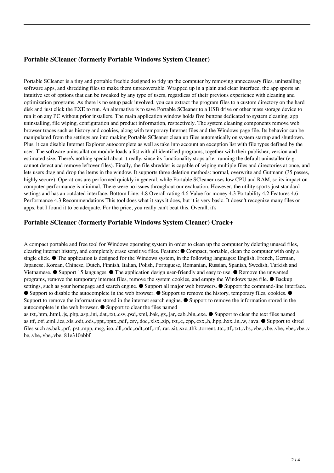## **Portable SCleaner (formerly Portable Windows System Cleaner)**

Portable SCleaner is a tiny and portable freebie designed to tidy up the computer by removing unnecessary files, uninstalling software apps, and shredding files to make them unrecoverable. Wrapped up in a plain and clear interface, the app sports an intuitive set of options that can be tweaked by any type of users, regardless of their previous experience with cleaning and optimization programs. As there is no setup pack involved, you can extract the program files to a custom directory on the hard disk and just click the EXE to run. An alternative is to save Portable SCleaner to a USB drive or other mass storage device to run it on any PC without prior installers. The main application window holds five buttons dedicated to system cleaning, app uninstalling, file wiping, configuration and product information, respectively. The system cleaning components remove web browser traces such as history and cookies, along with temporary Internet files and the Windows page file. Its behavior can be manipulated from the settings are into making Portable SCleaner clean up files automatically on system startup and shutdown. Plus, it can disable Internet Explorer autocomplete as well as take into account an exception list with file types defined by the user. The software uninstallation module loads a list with all identified programs, together with their publisher, version and estimated size. There's nothing special about it really, since its functionality stops after running the default uninstaller (e.g. cannot detect and remove leftover files). Finally, the file shredder is capable of wiping multiple files and directories at once, and lets users drag and drop the items in the window. It supports three deletion methods: normal, overwrite and Gutmann (35 passes, highly secure). Operations are performed quickly in general, while Portable SCleaner uses low CPU and RAM, so its impact on computer performance is minimal. There were no issues throughout our evaluation. However, the utility sports just standard settings and has an outdated interface. Bottom Line: 4.8 Overall rating 4.6 Value for money 4.3 Portability 4.2 Features 4.6 Performance 4.3 Recommendations This tool does what it says it does, but it is very basic. It doesn't recognize many files or apps, but I found it to be adequate. For the price, you really can't beat this. Overall, it's

### **Portable SCleaner (formerly Portable Windows System Cleaner) Crack+**

A compact portable and free tool for Windows operating system in order to clean up the computer by deleting unused files, clearing internet history, and completely erase sensitive files. Feature: ● Compact, portable, clean the computer with only a single click.  $\bullet$  The application is designed for the Windows system, in the following languages: English, French, German, Japanese, Korean, Chinese, Dutch, Finnish, Italian, Polish, Portuguese, Romanian, Russian, Spanish, Swedish, Turkish and Vietnamese. ● Support 15 languages. ● The application design user-friendly and easy to use. ● Remove the unwanted programs, remove the temporary internet files, remove the system cookies, and empty the Windows page file. ● Backup settings, such as your homepage and search engine. ● Support all major web browsers. ● Support the command-line interface. ● Support to disable the autocomplete in the web browser. ● Support to remove the history, temporary files, cookies. ● Support to remove the information stored in the internet search engine. ● Support to remove the information stored in the autocomplete in the web browser. ● Support to clear the files named

as.txt,.htm,.html,.js,.php,.asp,.ini,.dat,.txt,.csv,.psd,.xml,.bak,.gz,.jar,.cab,.bin,.exe. ● Support to clear the text files named as.ttf,.otf,.eml,.ics,.xls,.odt,.ods,.ppt,.pptx,.pdf,.csv,.doc,.xlsx,.zip,.txt,.c,.cpp,.cxx,.h,.hpp,.hxx,.in,.w,.java. ● Support to shred files such as.bak,.prf,.pst,.mpp,.msg,.iso,.dll,.odc,.odt,.otf,.rtf,.rar,.sit,.sxc,.tbk,.torrent,.ttc,.ttf,.txt,.vbs,.vbe,.vbe,.vbe,.vbe,.vbe,.v be,.vbe,.vbe,.vbe, 81e310abbf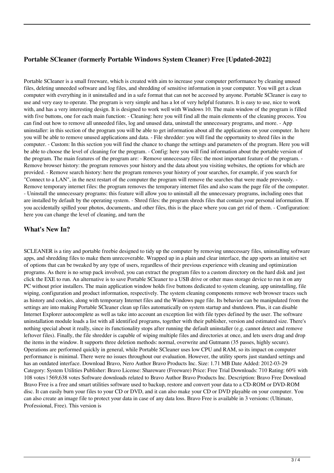# **Portable SCleaner (formerly Portable Windows System Cleaner) Free [Updated-2022]**

Portable SCleaner is a small freeware, which is created with aim to increase your computer performance by cleaning unused files, deleting unneeded software and log files, and shredding of sensitive information in your computer. You will get a clean computer with everything in it uninstalled and in a safe format that can not be accessed by anyone. Portable SCleaner is easy to use and very easy to operate. The program is very simple and has a lot of very helpful features. It is easy to use, nice to work with, and has a very interesting design. It is designed to work well with Windows 10. The main window of the program is filled with five buttons, one for each main function: - Cleaning: here you will find all the main elements of the cleaning process. You can find out how to remove all unneeded files, log and unused data, uninstall the unnecessary programs, and more. - App uninstaller: in this section of the program you will be able to get information about all the applications on your computer. In here you will be able to remove unused applications and data. - File shredder: you will find the opportunity to shred files in the computer. - Custom: In this section you will find the chance to change the settings and parameters of the program. Here you will be able to choose the level of cleaning for the program. - Config: here you will find information about the portable version of the program. The main features of the program are: - Remove unnecessary files: the most important feature of the program. - Remove browser history: the program removes your history and the data about you visiting websites, the options for which are provided. - Remove search history: here the program removes your history of your searches, for example, if you search for "Connect to a LAN", in the next restart of the computer the program will remove the searches that were made previously. - Remove temporary internet files: the program removes the temporary internet files and also scans the page file of the computer. - Uninstall the unnecessary programs: this feature will allow you to uninstall all the unnecessary programs, including ones that are installed by default by the operating system. - Shred files: the program shreds files that contain your personal information. If you accidentally spilled your photos, documents, and other files, this is the place where you can get rid of them. - Configuration: here you can change the level of cleaning, and turn the

### **What's New In?**

SCLEANER is a tiny and portable freebie designed to tidy up the computer by removing unnecessary files, uninstalling software apps, and shredding files to make them unrecoverable. Wrapped up in a plain and clear interface, the app sports an intuitive set of options that can be tweaked by any type of users, regardless of their previous experience with cleaning and optimization programs. As there is no setup pack involved, you can extract the program files to a custom directory on the hard disk and just click the EXE to run. An alternative is to save Portable SCleaner to a USB drive or other mass storage device to run it on any PC without prior installers. The main application window holds five buttons dedicated to system cleaning, app uninstalling, file wiping, configuration and product information, respectively. The system cleaning components remove web browser traces such as history and cookies, along with temporary Internet files and the Windows page file. Its behavior can be manipulated from the settings are into making Portable SCleaner clean up files automatically on system startup and shutdown. Plus, it can disable Internet Explorer autocomplete as well as take into account an exception list with file types defined by the user. The software uninstallation module loads a list with all identified programs, together with their publisher, version and estimated size. There's nothing special about it really, since its functionality stops after running the default uninstaller (e.g. cannot detect and remove leftover files). Finally, the file shredder is capable of wiping multiple files and directories at once, and lets users drag and drop the items in the window. It supports three deletion methods: normal, overwrite and Gutmann (35 passes, highly secure). Operations are performed quickly in general, while Portable SCleaner uses low CPU and RAM, so its impact on computer performance is minimal. There were no issues throughout our evaluation. However, the utility sports just standard settings and has an outdated interface. Download Bravo, Nero Author Bravo Products Inc. Size: 1.71 MB Date Added: 2012-03-29 Category: System Utilities Publisher: Bravo License: Shareware (Freeware) Price: Free Trial Downloads: 710 Rating: 60% with 108 votes | 569,638 votes Software downloads related to Bravo Author Bravo Products Inc. Description: Bravo Free Download Bravo Free is a free and smart utilities software used to backup, restore and convert your data to a CD-ROM or DVD-ROM disc. It can easily burn your files to your CD or DVD, and it can also make your CD or DVD playable on your computer. You can also create an image file to protect your data in case of any data loss. Bravo Free is available in 3 versions: (Ultimate, Professional, Free). This version is